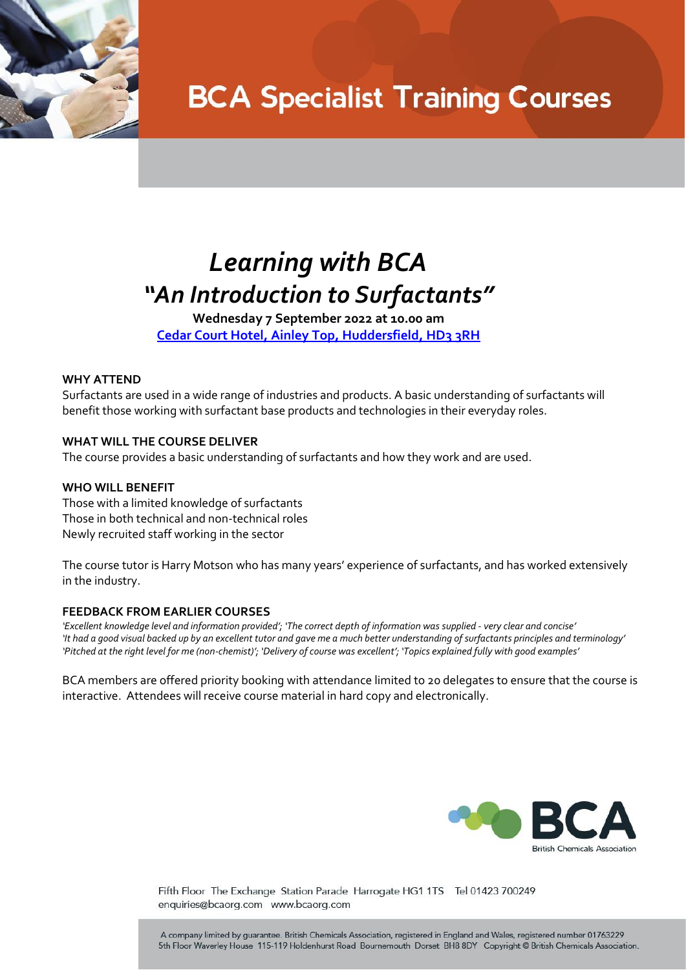

# **BCA Specialist Training Courses**

### *Learning with BCA "An Introduction to Surfactants"*

**Wednesday 7 September 2022 at 10.00 am Cedar Court Hotel, Ainley [Top, Huddersfield, HD3 3RH](https://www.cedarcourthotels.co.uk/hotels/huddersfield/?utm_source=Google&utm_medium=Organic&utm_campaign=GMB)**

### **WHY ATTEND**

Surfactants are used in a wide range of industries and products. A basic understanding of surfactants will benefit those working with surfactant base products and technologies in their everyday roles.

### **WHAT WILL THE COURSE DELIVER**

The course provides a basic understanding of surfactants and how they work and are used.

#### **WHO WILL BENEFIT**

Those with a limited knowledge of surfactants Those in both technical and non-technical roles Newly recruited staff working in the sector

The course tutor is Harry Motson who has many years' experience of surfactants, and has worked extensively in the industry.

#### **FEEDBACK FROM EARLIER COURSES**

*'Excellent knowledge level and information provided'; 'The correct depth of information was supplied - very clear and concise' 'It had a good visual backed up by an excellent tutor and gave me a much better understanding of surfactants principles and terminology' 'Pitched at the right level for me (non-chemist)'; 'Delivery of course was excellent'; 'Topics explained fully with good examples'*

BCA members are offered priority booking with attendance limited to 20 delegates to ensure that the course is interactive. Attendees will receive course material in hard copy and electronically.



Fifth Floor The Exchange Station Parade Harrogate HG1 1TS Tel 01423 700249 enquiries@bcaorg.com www.bcaorg.com

A company limited by guarantee. British Chemicals Association, registered in England and Wales, registered number 01763229 5th Floor Waverley House 115-119 Holdenhurst Road Bournemouth Dorset BH8 8DY Copyright @ British Chemicals Association.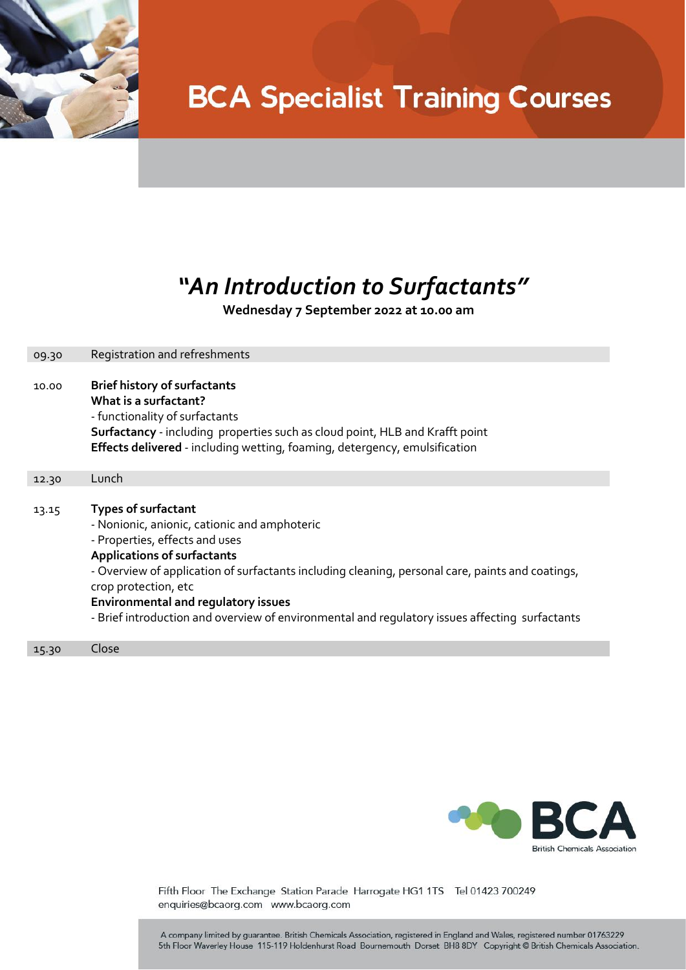

# **BCA Specialist Training Courses**

### *"An Introduction to Surfactants"*

 **Wednesday 7 September 2022 at 10.00 am**

| 09.30 | Registration and refreshments                                                                                                                |
|-------|----------------------------------------------------------------------------------------------------------------------------------------------|
|       |                                                                                                                                              |
| 10.00 | <b>Brief history of surfactants</b>                                                                                                          |
|       | What is a surfactant?<br>- functionality of surfactants                                                                                      |
|       | Surfactancy - including properties such as cloud point, HLB and Krafft point                                                                 |
|       | Effects delivered - including wetting, foaming, detergency, emulsification                                                                   |
|       |                                                                                                                                              |
| 12.30 | Lunch                                                                                                                                        |
|       |                                                                                                                                              |
| 13.15 | <b>Types of surfactant</b>                                                                                                                   |
|       | - Nonionic, anionic, cationic and amphoteric                                                                                                 |
|       | - Properties, effects and uses                                                                                                               |
|       | <b>Applications of surfactants</b>                                                                                                           |
|       | - Overview of application of surfactants including cleaning, personal care, paints and coatings,                                             |
|       | crop protection, etc                                                                                                                         |
|       | <b>Environmental and regulatory issues</b><br>- Brief introduction and overview of environmental and regulatory issues affecting surfactants |
|       |                                                                                                                                              |
|       |                                                                                                                                              |

15.30 Close



Fifth Floor The Exchange Station Parade Harrogate HG1 1TS Tel 01423 700249 enquiries@bcaorg.com www.bcaorg.com

A company limited by guarantee. British Chemicals Association, registered in England and Wales, registered number 01763229 5th Floor Waverley House 115-119 Holdenhurst Road Bournemouth Dorset BH8 8DY Copyright @ British Chemicals Association.